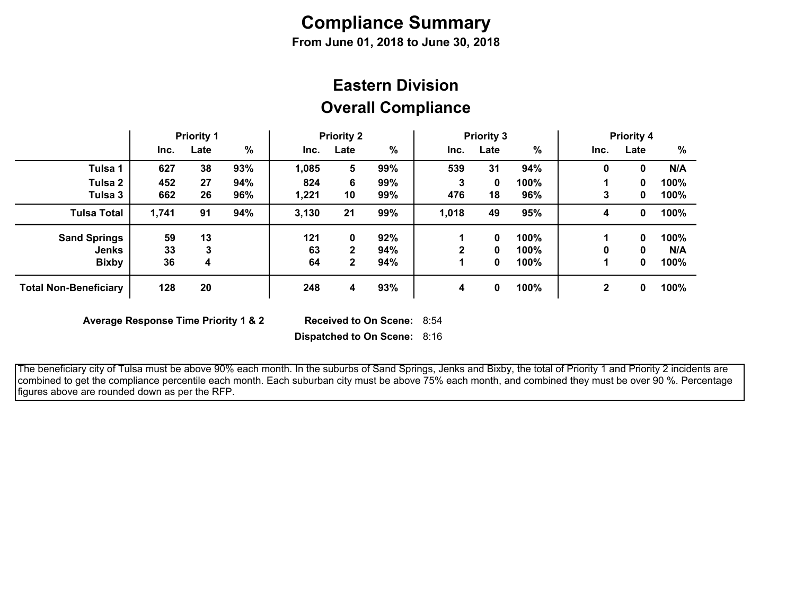## **Compliance Summary**

**From June 01, 2018 to June 30, 2018**

## **Overall Compliance Eastern Division**

|                              | <b>Priority 1</b> |      | <b>Priority 2</b> |       | <b>Priority 3</b> |      |              | <b>Priority 4</b> |         |              |      |      |
|------------------------------|-------------------|------|-------------------|-------|-------------------|------|--------------|-------------------|---------|--------------|------|------|
|                              | Inc.              | Late | $\%$              | Inc.  | Late              | $\%$ | Inc.         | Late              | %       | Inc.         | Late | %    |
| Tulsa 1                      | 627               | 38   | 93%               | 1,085 | 5                 | 99%  | 539          | 31                | 94%     | 0            | 0    | N/A  |
| Tulsa 2                      | 452               | 27   | 94%               | 824   | 6                 | 99%  | 3            | 0                 | 100%    |              | 0    | 100% |
| Tulsa 3                      | 662               | 26   | 96%               | 1,221 | 10                | 99%  | 476          | 18                | 96%     | 3            | 0    | 100% |
| <b>Tulsa Total</b>           | 1,741             | 91   | 94%               | 3,130 | 21                | 99%  | 1,018        | 49                | 95%     | 4            | 0    | 100% |
| <b>Sand Springs</b>          | 59                | 13   |                   | 121   | 0                 | 92%  |              | 0                 | 100%    |              | 0    | 100% |
| Jenks                        | 33                | 3    |                   | 63    | $\mathbf{2}$      | 94%  | $\mathbf{2}$ | 0                 | $100\%$ | 0            | 0    | N/A  |
| <b>Bixby</b>                 | 36                | 4    |                   | 64    | $\mathbf{2}$      | 94%  |              | 0                 | 100%    |              | 0    | 100% |
| <b>Total Non-Beneficiary</b> | 128               | 20   |                   | 248   | 4                 | 93%  | 4            | 0                 | 100%    | $\mathbf{2}$ | 0    | 100% |

**Average Response Time Priority 1 & 2** 

Received to On Scene: 8:54

**Dispatched to On Scene:** 8:16

 The beneficiary city of Tulsa must be above 90% each month. In the suburbs of Sand Springs, Jenks and Bixby, the total of Priority 1 and Priority 2 incidents are combined to get the compliance percentile each month. Each suburban city must be above 75% each month, and combined they must be over 90 %. Percentage figures above are rounded down as per the RFP.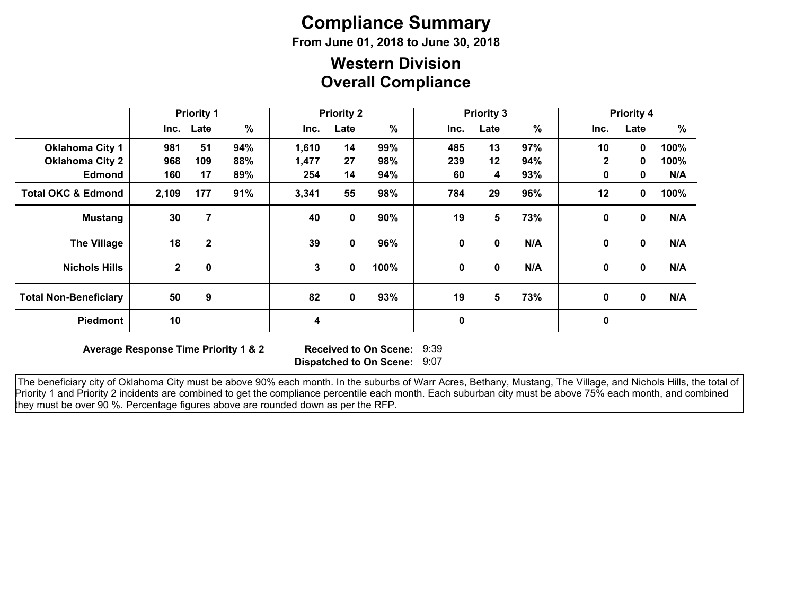# **Compliance Summary**

**From June 01, 2018 to June 30, 2018**

### **Overall Compliance Western Division**

|                               | <b>Priority 1</b> |              | <b>Priority 2</b> |       |      | <b>Priority 3</b> |      |              |     | <b>Priority 4</b> |             |      |
|-------------------------------|-------------------|--------------|-------------------|-------|------|-------------------|------|--------------|-----|-------------------|-------------|------|
|                               |                   | Inc. Late    | $\frac{9}{6}$     | Inc.  | Late | $\%$              | Inc. | Late         | %   | Inc.              | Late        | %    |
| <b>Oklahoma City 1</b>        | 981               | 51           | 94%               | 1,610 | 14   | 99%               | 485  | 13           | 97% | 10                | $\mathbf 0$ | 100% |
| <b>Oklahoma City 2</b>        | 968               | 109          | 88%               | 1,477 | 27   | 98%               | 239  | 12           | 94% | $\mathbf{2}$      | $\mathbf 0$ | 100% |
| <b>Edmond</b>                 | 160               | 17           | 89%               | 254   | 14   | 94%               | 60   | 4            | 93% | 0                 | 0           | N/A  |
| <b>Total OKC &amp; Edmond</b> | 2,109             | 177          | 91%               | 3,341 | 55   | 98%               | 784  | 29           | 96% | 12                | 0           | 100% |
| <b>Mustang</b>                | 30                | 7            |                   | 40    | 0    | 90%               | 19   | 5            | 73% | 0                 | 0           | N/A  |
| <b>The Village</b>            | 18                | $\mathbf{2}$ |                   | 39    | 0    | 96%               | 0    | 0            | N/A | 0                 | 0           | N/A  |
| <b>Nichols Hills</b>          | $2^{\circ}$       | $\mathbf 0$  |                   | 3     | 0    | 100%              | 0    | $\mathbf{0}$ | N/A | 0                 | $\mathbf 0$ | N/A  |
| <b>Total Non-Beneficiary</b>  | 50                | 9            |                   | 82    | 0    | 93%               | 19   | 5            | 73% | 0                 | $\mathbf 0$ | N/A  |
| <b>Piedmont</b>               | 10                |              |                   | 4     |      |                   | 0    |              |     | $\pmb{0}$         |             |      |

**Average Response Time Priority 1 & 2** 

**Dispatched to On Scene:** 9:07 Received to On Scene: 9:39

 The beneficiary city of Oklahoma City must be above 90% each month. In the suburbs of Warr Acres, Bethany, Mustang, The Village, and Nichols Hills, the total of Priority 1 and Priority 2 incidents are combined to get the compliance percentile each month. Each suburban city must be above 75% each month, and combined they must be over 90 %. Percentage figures above are rounded down as per the RFP.